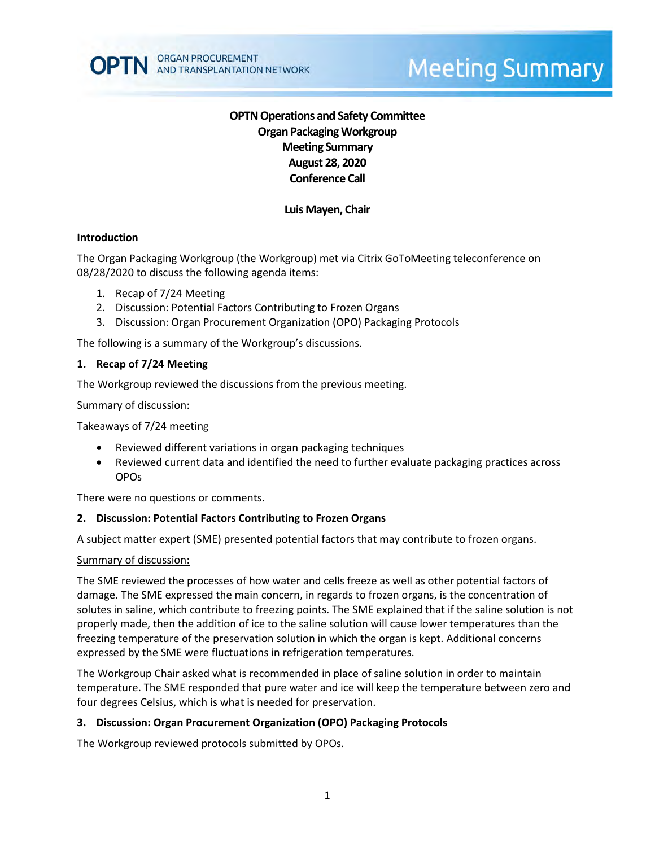# **OPTN Operations and Safety Committee Organ Packaging Workgroup Meeting Summary August 28, 2020 Conference Call**

## **Luis Mayen, Chair**

### **Introduction**

The Organ Packaging Workgroup (the Workgroup) met via Citrix GoToMeeting teleconference on 08/28/2020 to discuss the following agenda items:

- 1. Recap of 7/24 Meeting
- 2. Discussion: Potential Factors Contributing to Frozen Organs
- 3. Discussion: Organ Procurement Organization (OPO) Packaging Protocols

The following is a summary of the Workgroup's discussions.

#### **1. Recap of 7/24 Meeting**

The Workgroup reviewed the discussions from the previous meeting.

#### Summary of discussion:

Takeaways of 7/24 meeting

- Reviewed different variations in organ packaging techniques
- Reviewed current data and identified the need to further evaluate packaging practices across OPOs

There were no questions or comments.

## **2. Discussion: Potential Factors Contributing to Frozen Organs**

A subject matter expert (SME) presented potential factors that may contribute to frozen organs.

#### Summary of discussion:

The SME reviewed the processes of how water and cells freeze as well as other potential factors of damage. The SME expressed the main concern, in regards to frozen organs, is the concentration of solutes in saline, which contribute to freezing points. The SME explained that if the saline solution is not properly made, then the addition of ice to the saline solution will cause lower temperatures than the freezing temperature of the preservation solution in which the organ is kept. Additional concerns expressed by the SME were fluctuations in refrigeration temperatures.

The Workgroup Chair asked what is recommended in place of saline solution in order to maintain temperature. The SME responded that pure water and ice will keep the temperature between zero and four degrees Celsius, which is what is needed for preservation.

#### **3. Discussion: Organ Procurement Organization (OPO) Packaging Protocols**

The Workgroup reviewed protocols submitted by OPOs.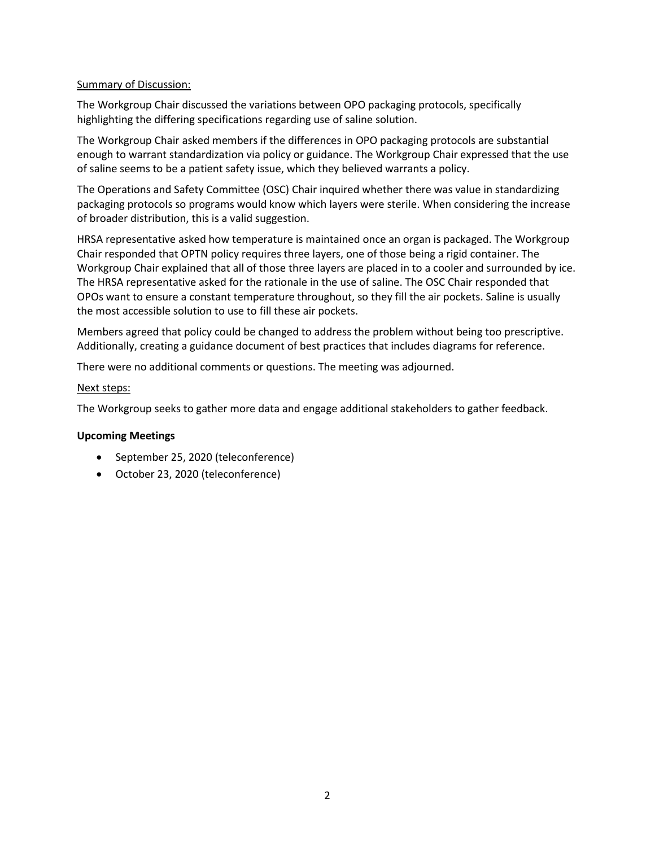## Summary of Discussion:

The Workgroup Chair discussed the variations between OPO packaging protocols, specifically highlighting the differing specifications regarding use of saline solution.

The Workgroup Chair asked members if the differences in OPO packaging protocols are substantial enough to warrant standardization via policy or guidance. The Workgroup Chair expressed that the use of saline seems to be a patient safety issue, which they believed warrants a policy.

The Operations and Safety Committee (OSC) Chair inquired whether there was value in standardizing packaging protocols so programs would know which layers were sterile. When considering the increase of broader distribution, this is a valid suggestion.

HRSA representative asked how temperature is maintained once an organ is packaged. The Workgroup Chair responded that OPTN policy requires three layers, one of those being a rigid container. The Workgroup Chair explained that all of those three layers are placed in to a cooler and surrounded by ice. The HRSA representative asked for the rationale in the use of saline. The OSC Chair responded that OPOs want to ensure a constant temperature throughout, so they fill the air pockets. Saline is usually the most accessible solution to use to fill these air pockets.

Members agreed that policy could be changed to address the problem without being too prescriptive. Additionally, creating a guidance document of best practices that includes diagrams for reference.

There were no additional comments or questions. The meeting was adjourned.

#### Next steps:

The Workgroup seeks to gather more data and engage additional stakeholders to gather feedback.

## **Upcoming Meetings**

- September 25, 2020 (teleconference)
- October 23, 2020 (teleconference)